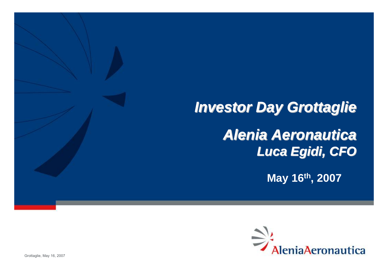# **Investor Day Grottaglie**

### *Alenia Aeronautica Alenia Aeronautica Luca Egidi, CFO*

**May 16th, 2007**

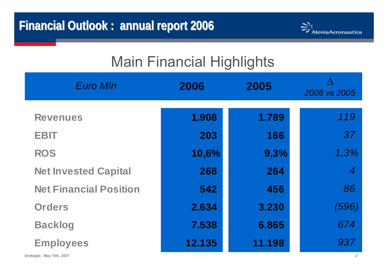

## Main Financial Highlights

| <b>Euro MIn</b>               | 2006   | 2005   | Λ<br>2006 vs 2005 |
|-------------------------------|--------|--------|-------------------|
| <b>Revenues</b>               | 1.908  | 1.789  | 119               |
| <b>EBIT</b>                   | 203    | 166    | 37                |
| <b>ROS</b>                    | 10,6%  | 9,3%   | 1,3%              |
| <b>Net Invested Capital</b>   | 268    | 264    | $\boldsymbol{4}$  |
| <b>Net Financial Position</b> | 542    | 456    | 86                |
| <b>Orders</b>                 | 2.634  | 3.230  | (596)             |
| <b>Backlog</b>                | 7.538  | 6.865  | 674               |
| <b>Employees</b>              | 12.135 | 11.198 | 937               |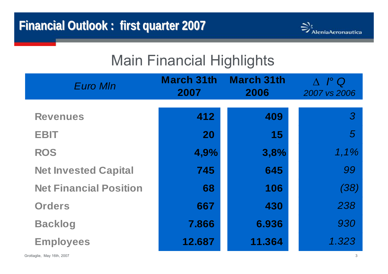

## Main Financial Highlights

| <b>Euro MIn</b>               | March 31th<br>2007 | <b>March 31th</b><br>2006 | $I^{\circ}$ Q<br>2007 vs 2006 |
|-------------------------------|--------------------|---------------------------|-------------------------------|
|                               |                    |                           |                               |
| <b>Revenues</b>               | 412                | 409                       | $\mathcal{S}$                 |
| <b>EBIT</b>                   | 20                 | 15                        | $\overline{5}$                |
| <b>ROS</b>                    | 4,9%               | 3,8%                      | 1,1%                          |
| <b>Net Invested Capital</b>   | 745                | 645                       | 99                            |
| <b>Net Financial Position</b> | 68                 | 106                       | (38)                          |
| <b>Orders</b>                 | 667                | 430                       | 238                           |
| <b>Backlog</b>                | 7.866              | 6.936                     | 930                           |
| <b>Employees</b>              | 12.687             | 11.364                    | 1.323                         |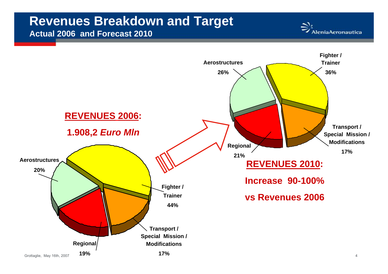#### **Revenues Breakdown and Target Actual 2006 and Forecast 2010**



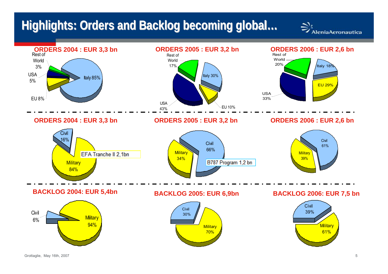#### **Highlights Highlights: Orders and Backlog Backlog becoming becoming global… global…**

 $\Rightarrow$ <br>Alenia<br>Aeronautica

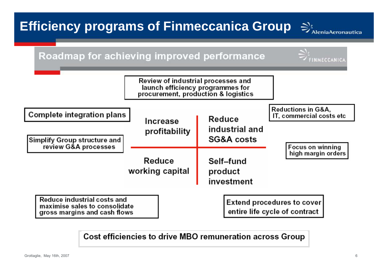

Cost efficiencies to drive MBO remuneration across Group